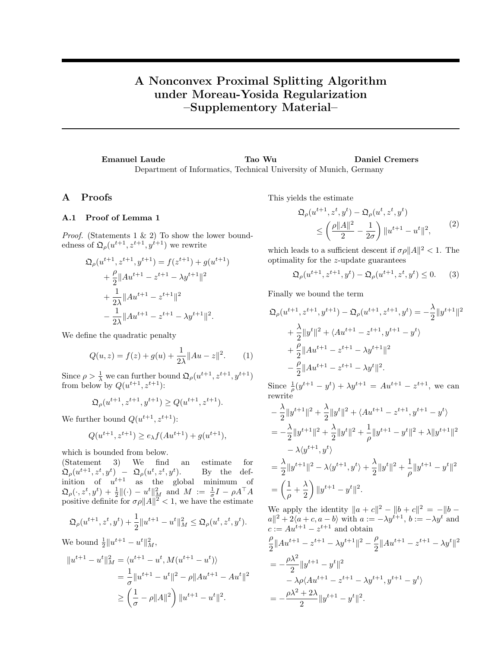## A Nonconvex Proximal Splitting Algorithm under Moreau-Yosida Regularization –Supplementory Material–

Emanuel Laude Tao Wu Daniel Cremers Department of Informatics, Technical University of Munich, Germany

## A Proofs

## A.1 Proof of Lemma 1

*Proof.* (Statements 1  $\&$  2) To show the lower boundedness of  $\mathfrak{Q}_{\rho}(u^{t+1}, z^{t+1}, y^{t+1})$  we rewrite

$$
\mathfrak{Q}_{\rho}(u^{t+1}, z^{t+1}, y^{t+1}) = f(z^{t+1}) + g(u^{t+1})
$$

$$
+ \frac{\rho}{2} ||Au^{t+1} - z^{t+1} - \lambda y^{t+1}||^2
$$

$$
+ \frac{1}{2\lambda} ||Au^{t+1} - z^{t+1}||^2
$$

$$
- \frac{1}{2\lambda} ||Au^{t+1} - z^{t+1} - \lambda y^{t+1}||^2.
$$

We define the quadratic penalty

$$
Q(u, z) = f(z) + g(u) + \frac{1}{2\lambda} ||Au - z||^2.
$$
 (1)

Since  $\rho > \frac{1}{\lambda}$  we can further bound  $\mathfrak{Q}_{\rho}(u^{t+1}, z^{t+1}, y^{t+1})$ from below by  $Q(u^{t+1}, z^{t+1})$ :

$$
\mathfrak{Q}_{\rho}(u^{t+1},z^{t+1},y^{t+1})\geq Q(u^{t+1},z^{t+1}).
$$

We further bound  $Q(u^{t+1}, z^{t+1})$ :

$$
Q(u^{t+1}, z^{t+1}) \ge e_{\lambda} f(Au^{t+1}) + g(u^{t+1}),
$$

which is bounded from below.

(Statement 3) We find an estimate for  $\mathfrak{Q}_\rho(u^{t+1},z^t,y^t) - \mathfrak{Q}_\rho(u^t,z^t,y^t)$ ). By the definition of  $u^{t+1}$  as the global minimum of  $\mathfrak{Q}_\rho(\cdot,z^t,y^t) + \frac{1}{2} \|(\cdot)-u^t\|^2_M$  and  $M := \frac{1}{\sigma}I - \rho A^\top A$ positive definite for  $\sigma \rho ||A||^2 < 1$ , we have the estimate

$$
\mathfrak{Q}_{\rho}(u^{t+1}, z^t, y^t) + \frac{1}{2} \|u^{t+1} - u^t\|_M^2 \leq \mathfrak{Q}_{\rho}(u^t, z^t, y^t).
$$

We bound  $\frac{1}{2} ||u^{t+1} - u^t||_M^2$ ,

$$
||u^{t+1} - u^t||_M^2 = \langle u^{t+1} - u^t, M(u^{t+1} - u^t) \rangle
$$
  
=  $\frac{1}{\sigma} ||u^{t+1} - u^t||^2 - \rho ||Au^{t+1} - Au^t||^2$   
 $\ge \left(\frac{1}{\sigma} - \rho ||A||^2\right) ||u^{t+1} - u^t||^2.$ 

This yields the estimate

$$
\Omega_{\rho}(u^{t+1}, z^t, y^t) - \Omega_{\rho}(u^t, z^t, y^t) \n\leq \left(\frac{\rho \|A\|^2}{2} - \frac{1}{2\sigma}\right) \|u^{t+1} - u^t\|^2,
$$
\n(2)

which leads to a sufficient descent if  $\sigma \rho ||A||^2 < 1$ . The optimality for the z-update guarantees

$$
\mathfrak{Q}_{\rho}(u^{t+1}, z^{t+1}, y^t) - \mathfrak{Q}_{\rho}(u^{t+1}, z^t, y^t) \le 0. \tag{3}
$$

Finally we bound the term

$$
\mathfrak{Q}_{\rho}(u^{t+1}, z^{t+1}, y^{t+1}) - \mathfrak{Q}_{\rho}(u^{t+1}, z^{t+1}, y^{t}) = -\frac{\lambda}{2} ||y^{t+1}||^2
$$
  
+  $\frac{\lambda}{2} ||y^{t}||^2 + \langle Au^{t+1} - z^{t+1}, y^{t+1} - y^{t} \rangle$   
+  $\frac{\rho}{2} ||Au^{t+1} - z^{t+1} - \lambda y^{t+1}||^2$   
-  $\frac{\rho}{2} ||Au^{t+1} - z^{t+1} - \lambda y^{t}||^2$ .  
Since  $\frac{1}{u^{t+1}} - u^{t} + \lambda y^{t+1} = A u^{t+1} - x^{t+1}$  we can

Since  $\frac{1}{\rho}(y)$  $t+1 - y^t) + \lambda y^{t+1} = A u^{t+1} - z$ t, we can rewrite

$$
-\frac{\lambda}{2}||y^{t+1}||^2 + \frac{\lambda}{2}||y^t||^2 + \langle Au^{t+1} - z^{t+1}, y^{t+1} - y^t \rangle
$$
  
=  $-\frac{\lambda}{2}||y^{t+1}||^2 + \frac{\lambda}{2}||y^t||^2 + \frac{1}{\rho}||y^{t+1} - y^t||^2 + \lambda||y^{t+1}||^2$   
 $-\lambda \langle y^{t+1}, y^t \rangle$   
=  $\frac{\lambda}{2}||y^{t+1}||^2 - \lambda \langle y^{t+1}, y^t \rangle + \frac{\lambda}{2}||y^t||^2 + \frac{1}{\rho}||y^{t+1} - y^t||^2$   
=  $\left(\frac{1}{\rho} + \frac{\lambda}{2}\right) ||y^{t+1} - y^t||^2.$ 

We apply the identity  $||a + c||^2 - ||b + c||^2 = -||b - c||$  $a||^2 + 2\langle a+c, a-b \rangle$  with  $a := -\lambda y^{t+1}, b := -\lambda y^t$  and  $c := Au^{t+1} - z^{t+1}$  and obtain

$$
\frac{\rho}{2}||Au^{t+1} - z^{t+1} - \lambda y^{t+1}||^2 - \frac{\rho}{2}||Au^{t+1} - z^{t+1} - \lambda y^t||^2
$$
  
= 
$$
-\frac{\rho\lambda^2}{2}||y^{t+1} - y^t||^2
$$
  

$$
-\lambda\rho\langle Au^{t+1} - z^{t+1} - \lambda y^{t+1}, y^{t+1} - y^t \rangle
$$
  
= 
$$
-\frac{\rho\lambda^2 + 2\lambda}{2}||y^{t+1} - y^t||^2.
$$